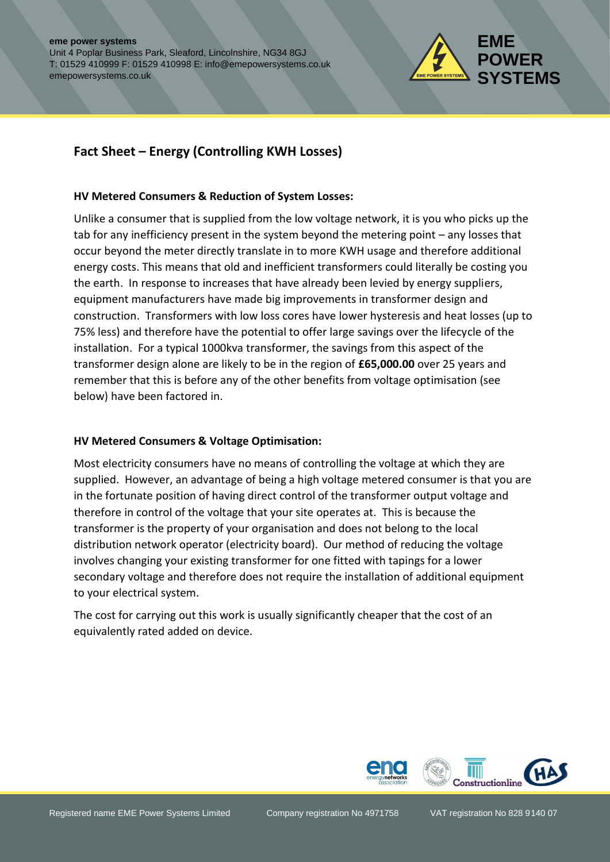

# **Fact Sheet – Energy (Controlling KWH Losses)**

#### **HV Metered Consumers & Reduction of System Losses:**

Unlike a consumer that is supplied from the low voltage network, it is you who picks up the tab for any inefficiency present in the system beyond the metering point – any losses that occur beyond the meter directly translate in to more KWH usage and therefore additional energy costs. This means that old and inefficient transformers could literally be costing you the earth. In response to increases that have already been levied by energy suppliers, equipment manufacturers have made big improvements in transformer design and construction. Transformers with low loss cores have lower hysteresis and heat losses (up to 75% less) and therefore have the potential to offer large savings over the lifecycle of the installation. For a typical 1000kva transformer, the savings from this aspect of the transformer design alone are likely to be in the region of **£65,000.00** over 25 years and remember that this is before any of the other benefits from voltage optimisation (see below) have been factored in.

#### **HV Metered Consumers & Voltage Optimisation:**

Most electricity consumers have no means of controlling the voltage at which they are supplied. However, an advantage of being a high voltage metered consumer is that you are in the fortunate position of having direct control of the transformer output voltage and therefore in control of the voltage that your site operates at. This is because the transformer is the property of your organisation and does not belong to the local distribution network operator (electricity board). Our method of reducing the voltage involves changing your existing transformer for one fitted with tapings for a lower secondary voltage and therefore does not require the installation of additional equipment to your electrical system.

The cost for carrying out this work is usually significantly cheaper that the cost of an equivalently rated added on device.